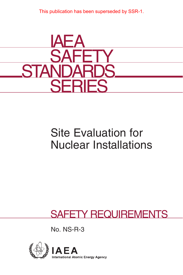

# Site Evaluation for Nuclear Installations

# SAFETY REQUIREMENTS

No. NS-R-3

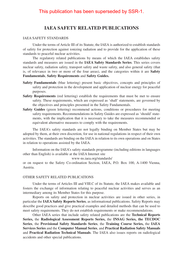## **IAEA SAFETY RELATED PUBLICATIONS**

#### IAEA SAFETY STANDARDS

Under the terms of Article III of its Statute, the IAEA is authorized to establish standards of safety for protection against ionizing radiation and to provide for the application of these standards to peaceful nuclear activities.

The regulatory related publications by means of which the IAEA establishes safety standards and measures are issued in the **IAEA Safety Standards Series**. This series covers nuclear safety, radiation safety, transport safety and waste safety, and also general safety (that is, of relevance in two or more of the four areas), and the categories within it are **Safety Fundamentals**, **Safety Requirements** and **Safety Guides.**

- **Safety Fundamentals** (blue lettering) present basic objectives, concepts and principles of safety and protection in the development and application of nuclear energy for peaceful purposes.
- **Safety Requirements** (red lettering) establish the requirements that must be met to ensure safety. These requirements, which are expressed as 'shall' statements, are governed by the objectives and principles presented in the Safety Fundamentals.
- **Safety Guides** (green lettering) recommend actions, conditions or procedures for meeting safety requirements. Recommendations in Safety Guides are expressed as 'should' statements, with the implication that it is necessary to take the measures recommended or equivalent alternative measures to comply with the requirements.

The IAEA's safety standards are not legally binding on Member States but may be adopted by them, at their own discretion, for use in national regulations in respect of their own activities. The standards are binding on the IAEA in relation to its own operations and on States in relation to operations assisted by the IAEA.

Information on the IAEA's safety standards programme (including editions in languages other than English) is available at the IAEA Internet site

www-ns.iaea.org/standards/

or on request to the Safety Co-ordination Section, IAEA, P.O. Box 100, A-1400 Vienna, Austria.

#### OTHER SAFETY RELATED PUBLICATIONS

Under the terms of Articles III and VIII.C of its Statute, the IAEA makes available and fosters the exchange of information relating to peaceful nuclear activities and serves as an intermediary among its Member States for this purpose.

Reports on safety and protection in nuclear activities are issued in other series, in particular the **IAEA Safety Reports Series**, as informational publications. Safety Reports may describe good practices and give practical examples and detailed methods that can be used to meet safety requirements. They do not establish requirements or make recommendations.

Other IAEA series that include safety related publications are the **Technical Reports Series,** the **Radiological Assessment Reports Series,** the **INSAG Series, the TECDOC Series**, the **Provisional Safety Standards Series**, the **Training Course Series,** the **IAEA Services Series** and the **Computer Manual Series**, and **Practical Radiation Safety Manuals** and **Practical Radiation Technical Manuals**. The IAEA also issues reports on radiological accidents and other special publications.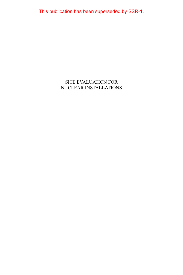## SITE EVALUATION FOR NUCLEAR INSTALLATIONS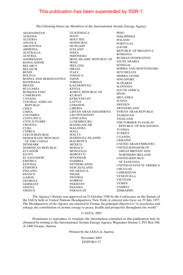The following States are Members of the International Atomic Energy Agency:

AFGHANISTAN ALBANIA ALGERIA ANGOLA ARGENTINA ARMENIA AUSTRALIA AUSTRIA AZERBAIJAN BANGLADESH BELARUS BELGIUM BENIN BOLIVIA BOSNIA AND HERZEGOVINA JAPAN BOTSWANA BRAZIL BULGARIA BURKINA FASO CAMEROON CANADA CENTRAL AFRICAN REPUBLIC CHILE CHINA COLOMBIA COSTA RICA CÔTE D'IVOIRE CROATIA CUBA **CYPRUS** CZECH REPUBLIC DEMOCRATIC REPUBLIC OF THE CONGO DENMARK DOMINICAN REPUBLIC ECUADOR EGYPT EL SALVADOR ERITREA ESTONIA ETHIOPIA FINLAND FRANCE GABON GEORGIA GERMANY GHANA **GREECE** 

GUATEMALA HAITI HOLY SEE HONDURAS HUNGARY ICELAND INDIA INDONESIA IRAN, ISLAMIC REPUBLIC OF IRAQ IRELAND ISRAEL ITALY JAMAICA JORDAN KAZAKHSTAN KENYA KOREA, REPUBLIC OF KUWAIT KYRGYZSTAN LATVIA LEBANON LIBERIA LIBYAN ARAB JAMAHIRIYA LIECHTENSTEIN LITHUANIA LUXEMBOURG MADAGASCAR MALAYSIA MALI MALTA MARSHALL ISLANDS MAURITIUS **MEXICO** MONACO MONGOLIA **MOROCCO** MYANMAR NAMIBIA NETHERLANDS NEW ZEALAND NICARAGUA NIGER NIGERIA NORWAY PAKISTAN PANAMA PARAGUAY

PERU **PHILIPPINES** POLAND PORTUGAL **OATAR** REPUBLIC OF MOLDOVA ROMANIA RUSSIAN FEDERATION SAUDI ARABIA SENEGAL SERBIA AND MONTENEGRO SEYCHELLES SIERRA LEONE SINGAPORE SLOVAKIA SLOVENIA SOUTH AFRICA SPAIN SRI LANKA **SUDAN** SWEDEN SWITZERLAND SYRIAN ARAB REPUBLIC TA **HKISTAN** THAILAND THE FORMER YUGOSLAV REPUBLIC OF MACEDONIA **TUNISIA** TURKEY UGANDA UKRAINE UNITED ARAB EMIRATES UNITED KINGDOM OF GREAT BRITAIN AND NORTHERN IRELAND UNITED REPUBLIC OF TANZANIA UNITED STATES OF AMERICA URUGUAY UZBEKISTAN VENEZUELA VIETNAM YEMEN ZAMBIA ZIMBABWE

The Agency's Statute was approved on 23 October 1956 by the Conference on the Statute of the IAEA held at United Nations Headquarters, New York; it entered into force on 29 July 1957. The Headquarters of the Agency are situated in Vienna. Its principal objective is "to accelerate and enlarge the contribution of atomic energy to peace, health and prosperity throughout the world''.

#### © IAEA, 2003

Permission to reproduce or translate the information contained in this publication may be obtained by writing to the International Atomic Energy Agency, Wagramer Strasse 5, P.O. Box 100, A-1400 Vienna, Austria.

Printed by the IAEA in Austria

November 2003 STI/PUB/1177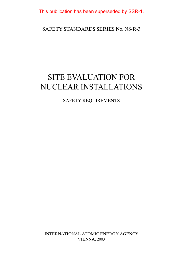SAFETY STANDARDS SERIES No. NS-R-3

## SITE EVALUATION FOR NUCLEAR INSTALLATIONS

SAFETY REQUIREMENTS

INTERNATIONAL ATOMIC ENERGY AGENCY VIENNA, 2003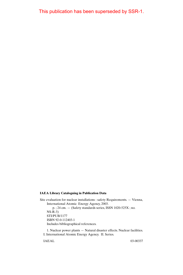#### **IAEA Library Cataloguing in Publication Data**

Site evaluation for nuclear installations : safety Requirements. — Vienna, International Atomic Energy Agency, 2003. p. ; 24 cm. — (Safety standards series, ISSN 1020-525X ; no. NS-R-3) STI/PUB/1177 ISBN 92-0-112403-1 Includes bibliographical references.

1. Nuclear power plants — Natural disaster effects. Nuclear facilities. I. International Atomic Energy Agency. II. Series.

IAEAL 03-00337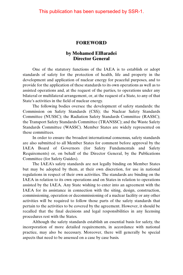#### **FOREWORD**

#### **by Mohamed ElBaradei Director General**

One of the statutory functions of the IAEA is to establish or adopt standards of safety for the protection of health, life and property in the development and application of nuclear energy for peaceful purposes, and to provide for the application of these standards to its own operations as well as to assisted operations and, at the request of the parties, to operations under any bilateral or multilateral arrangement, or, at the request of a State, to any of that State's activities in the field of nuclear energy.

The following bodies oversee the development of safety standards: the Commission on Safety Standards (CSS); the Nuclear Safety Standards Committee (NUSSC); the Radiation Safety Standards Committee (RASSC); the Transport Safety Standards Committee (TRANSSC); and the Waste Safety Standards Committee (WASSC). Member States are widely represented on these committees.

In order to ensure the broadest international consensus, safety standards are also submitted to all Member States for comment before approval by the IAEA Board of Governors (for Safety Fundamentals and Safety Requirements) or, on behalf of the Director General, by the Publications Committee (for Safety Guides).

The IAEA's safety standards are not legally binding on Member States but may be adopted by them, at their own discretion, for use in national regulations in respect of their own activities. The standards are binding on the IAEA in relation to its own operations and on States in relation to operations assisted by the IAEA. Any State wishing to enter into an agreement with the IAEA for its assistance in connection with the siting, design, construction, commissioning, operation or decommissioning of a nuclear facility or any other activities will be required to follow those parts of the safety standards that pertain to the activities to be covered by the agreement. However, it should be recalled that the final decisions and legal responsibilities in any licensing procedures rest with the States.

Although the safety standards establish an essential basis for safety, the incorporation of more detailed requirements, in accordance with national practice, may also be necessary. Moreover, there will generally be special aspects that need to be assessed on a case by case basis.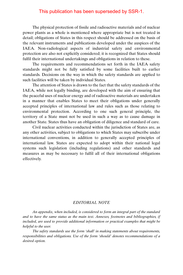The physical protection of fissile and radioactive materials and of nuclear power plants as a whole is mentioned where appropriate but is not treated in detail; obligations of States in this respect should be addressed on the basis of the relevant instruments and publications developed under the auspices of the IAEA. Non-radiological aspects of industrial safety and environmental protection are also not explicitly considered; it is recognized that States should fulfil their international undertakings and obligations in relation to these.

The requirements and recommendations set forth in the IAEA safety standards might not be fully satisfied by some facilities built to earlier standards. Decisions on the way in which the safety standards are applied to such facilities will be taken by individual States.

The attention of States is drawn to the fact that the safety standards of the IAEA, while not legally binding, are developed with the aim of ensuring that the peaceful uses of nuclear energy and of radioactive materials are undertaken in a manner that enables States to meet their obligations under generally accepted principles of international law and rules such as those relating to environmental protection. According to one such general principle, the territory of a State must not be used in such a way as to cause damage in another State. States thus have an obligation of diligence and standard of care.

Civil nuclear activities conducted within the jurisdiction of States are, as any other activities, subject to obligations to which States may subscribe under international conventions, in addition to generally accepted principles of international law. States are expected to adopt within their national legal systems such legislation (including regulations) and other standards and measures as may be necessary to fulfil all of their international obligations effectively.

#### *EDITORIAL NOTE*

*An appendix, when included, is considered to form an integral part of the standard and to have the same status as the main text. Annexes, footnotes and bibliographies, if included, are used to provide additional information or practical examples that might be helpful to the user.*

*The safety standards use the form 'shall' in making statements about requirements, responsibilities and obligations. Use of the form 'should' denotes recommendations of a desired option.*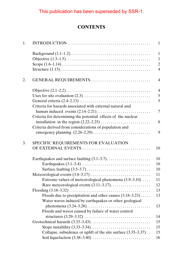## **CONTENTS**

| 1. |                                                                | 1              |
|----|----------------------------------------------------------------|----------------|
|    |                                                                | $\mathbf{1}$   |
|    |                                                                | $\mathbf{1}$   |
|    |                                                                | $\overline{c}$ |
|    |                                                                | $\overline{4}$ |
| 2. | GENERAL REQUIREMENTS                                           | $\overline{4}$ |
|    |                                                                | $\overline{4}$ |
|    |                                                                | 5              |
|    |                                                                | 5              |
|    | Criteria for hazards associated with external natural and      |                |
|    |                                                                | $\overline{7}$ |
|    | Criteria for determining the potential effects of the nuclear  |                |
|    |                                                                | 8              |
|    | Criteria derived from considerations of population and         |                |
|    |                                                                | 9              |
| 3. | SPECIFIC REQUIREMENTS FOR EVALUATION                           |                |
|    | OF EXTERNAL EVENTS                                             | 10             |
|    |                                                                | 10             |
|    |                                                                | 10             |
|    |                                                                | 10             |
|    |                                                                | 11             |
|    | Extreme values of meteorological phenomena (3.9–3.10)          | 11             |
|    |                                                                | 12             |
|    |                                                                | 13             |
|    | Floods due to precipitation and other causes $(3.18-3.23)$     | 13             |
|    | Water waves induced by earthquakes or other geological         |                |
|    |                                                                | 13             |
|    | Floods and waves caused by failure of water control            |                |
|    |                                                                | 14             |
|    |                                                                | 15             |
|    |                                                                | 15             |
|    | Collapse, subsidence or uplift of the site surface (3.35–3.37) | 15             |
|    |                                                                | 16             |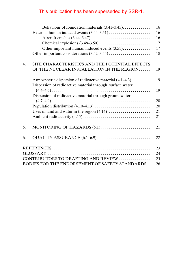| Behaviour of foundation materials (3.41–3.43).             | 16 |  |
|------------------------------------------------------------|----|--|
|                                                            | 16 |  |
|                                                            | 16 |  |
|                                                            | 17 |  |
| Other important human induced events (3.51).               | 17 |  |
|                                                            | 18 |  |
| SITE CHARACTERISTICS AND THE POTENTIAL EFFECTS<br>4.       |    |  |
| OF THE NUCLEAR INSTALLATION IN THE REGION                  | 19 |  |
| Atmospheric dispersion of radioactive material $(4.1-4.3)$ | 19 |  |
| Dispersion of radioactive material through surface water   |    |  |
|                                                            | 19 |  |
| Dispersion of radioactive material through groundwater     |    |  |
|                                                            | 20 |  |
|                                                            | 20 |  |
|                                                            | 21 |  |
|                                                            | 21 |  |
| 5.                                                         | 21 |  |
| 6.                                                         | 22 |  |
|                                                            | 23 |  |
|                                                            |    |  |
| CONTRIBUTORS TO DRAFTING AND REVIEW                        |    |  |
| BODIES FOR THE ENDORSEMENT OF SAFETY STANDARDS             | 26 |  |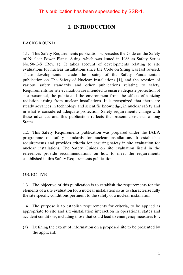## **1. INTRODUCTION**

#### BACKGROUND

1.1. This Safety Requirements publication supersedes the Code on the Safety of Nuclear Power Plants: Siting, which was issued in 1988 as Safety Series No. 50-C-S (Rev. 1). It takes account of developments relating to site evaluations for nuclear installations since the Code on Siting was last revised. These developments include the issuing of the Safety Fundamentals publication on The Safety of Nuclear Installations [1], and the revision of various safety standards and other publications relating to safety. Requirements for site evaluation are intended to ensure adequate protection of site personnel, the public and the environment from the effects of ionizing radiation arising from nuclear installations. It is recognized that there are steady advances in technology and scientific knowledge, in nuclear safety and in what is considered adequate protection. Safety requirements change with these advances and this publication reflects the present consensus among States.

1.2. This Safety Requirements publication was prepared under the IAEA programme on safety standards for nuclear installations. It establishes requirements and provides criteria for ensuring safety in site evaluation for nuclear installations. The Safety Guides on site evaluation listed in the references provide recommendations on how to meet the requirements established in this Safety Requirements publication.

#### OBJECTIVE

1.3. The objective of this publication is to establish the requirements for the elements of a site evaluation for a nuclear installation so as to characterize fully the site specific conditions pertinent to the safety of a nuclear installation.

1.4. The purpose is to establish requirements for criteria, to be applied as appropriate to site and site–installation interaction in operational states and accident conditions, including those that could lead to emergency measures for:

(a) Defining the extent of information on a proposed site to be presented by the applicant;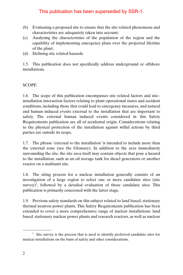- (b) Evaluating a proposed site to ensure that the site related phenomena and characteristics are adequately taken into account;
- (c) Analysing the characteristics of the population of the region and the capability of implementing emergency plans over the projected lifetime of the plant;
- (d) Defining site related hazards.

1.5. This publication does not specifically address underground or offshore installations.

#### SCOPE

1.6. The scope of this publication encompasses site related factors and site– installation interaction factors relating to plant operational states and accident conditions, including those that could lead to emergency measures, and natural and human induced events external to the installation that are important to safety. The external human induced events considered in this Safety Requirements publication are all of accidental origin. Considerations relating to the physical protection of the installation against wilful actions by third parties are outside its scope.

1.7. The phrase 'external to the installation' is intended to include more than the external zone (see the Glossary). In addition to the area immediately surrounding the site, the site area itself may contain objects that pose a hazard to the installation, such as an oil storage tank for diesel generators or another reactor on a multiunit site.

1.8. The siting process for a nuclear installation generally consists of an investigation of a large region to select one or more candidate sites (site survey)<sup>1</sup>, followed by a detailed evaluation of those candidate sites. This publication is primarily concerned with the latter stage.

1.9. Previous safety standards on this subject related to land based, stationary thermal neutron power plants. This Safety Requirements publication has been extended to cover a more comprehensive range of nuclear installations: land based, stationary nuclear power plants and research reactors, as well as nuclear

<sup>&</sup>lt;sup>1</sup> Site survey is the process that is used to identify preferred candidate sites for nuclear installations on the basis of safety and other considerations.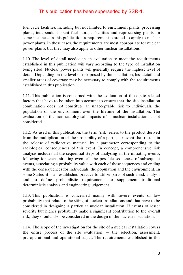fuel cycle facilities, including but not limited to enrichment plants, processing plants, independent spent fuel storage facilities and reprocessing plants. In some instances in this publication a requirement is stated to apply to nuclear power plants. In these cases, the requirements are most appropriate for nuclear power plants, but they may also apply to other nuclear installations.

1.10. The level of detail needed in an evaluation to meet the requirements established in this publication will vary according to the type of installation being sited. Nuclear power plants will generally require the highest level of detail. Depending on the level of risk posed by the installation, less detail and smaller areas of coverage may be necessary to comply with the requirements established in this publication.

1.11. This publication is concerned with the evaluation of those site related factors that have to be taken into account to ensure that the site–installation combination does not constitute an unacceptable risk to individuals, the population or the environment over the lifetime of the installation. The evaluation of the non-radiological impacts of a nuclear installation is not considered.

1.12. As used in this publication, the term 'risk' refers to the product derived from the multiplication of the probability of a particular event that results in the release of radioactive material by a parameter corresponding to the radiological consequences of this event. In concept, a comprehensive risk analysis includes all the sequential steps of analysing all the initiating events, following for each initiating event all the possible sequences of subsequent events, associating a probability value with each of these sequences and ending with the consequences for individuals, the population and the environment. In some States, it is an established practice to utilize parts of such a risk analysis and to define probabilistic requirements to supplement traditional deterministic analysis and engineering judgement.

1.13. This publication is concerned mainly with severe events of low probability that relate to the siting of nuclear installations and that have to be considered in designing a particular nuclear installation. If events of lesser severity but higher probability make a significant contribution to the overall risk, they should also be considered in the design of the nuclear installation.

1.14. The scope of the investigation for the site of a nuclear installation covers the entire process of the site evaluation — the selection, assessment, pre-operational and operational stages. The requirements established in this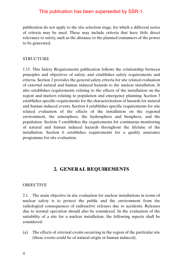publication do not apply to the site selection stage, for which a different series of criteria may be used. These may include criteria that have little direct relevance to safety, such as the distance to the planned consumers of the power to be generated.

#### **STRUCTURE**

1.15. This Safety Requirements publication follows the relationship between principles and objectives of safety, and establishes safety requirements and criteria. Section 2 provides the general safety criteria for site related evaluation of external natural and human induced hazards to the nuclear installation. It also establishes requirements relating to the effects of the installation on the region and matters relating to population and emergency planning. Section 3 establishes specific requirements for the characterization of hazards for natural and human induced events. Section 4 establishes specific requirements for site related evaluation of the effects of the installation on the regional environment, the atmosphere, the hydrosphere and biosphere, and the population. Section 5 establishes the requirements for continuous monitoring of natural and human induced hazards throughout the lifetime of the installation. Section 6 establishes requirements for a quality assurance programme for site evaluation.

## **2. GENERAL REQUIREMENTS**

#### OBJECTIVE

2.1. The main objective in site evaluation for nuclear installations in terms of nuclear safety is to protect the public and the environment from the radiological consequences of radioactive releases due to accidents. Releases due to normal operation should also be considered. In the evaluation of the suitability of a site for a nuclear installation, the following aspects shall be considered:

(a) The effects of external events occurring in the region of the particular site (these events could be of natural origin or human induced);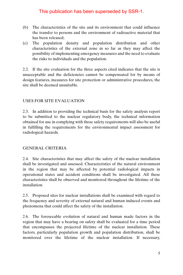- (b) The characteristics of the site and its environment that could influence the transfer to persons and the environment of radioactive material that has been released;
- (c) The population density and population distribution and other characteristics of the external zone in so far as they may affect the possibility of implementing emergency measures and the need to evaluate the risks to individuals and the population.

2.2. If the site evaluation for the three aspects cited indicates that the site is unacceptable and the deficiencies cannot be compensated for by means of design features, measures for site protection or administrative procedures, the site shall be deemed unsuitable.

#### USES FOR SITE EVALUATION

2.3. In addition to providing the technical basis for the safety analysis report to be submitted to the nuclear regulatory body, the technical information obtained for use in complying with these safety requirements will also be useful in fulfilling the requirements for the environmental impact assessment for radiological hazards.

#### GENERAL CRITERIA

2.4. Site characteristics that may affect the safety of the nuclear installation shall be investigated and assessed. Characteristics of the natural environment in the region that may be affected by potential radiological impacts in operational states and accident conditions shall be investigated. All these characteristics shall be observed and monitored throughout the lifetime of the installation.

2.5. Proposed sites for nuclear installations shall be examined with regard to the frequency and severity of external natural and human induced events and phenomena that could affect the safety of the installation.

2.6. The foreseeable evolution of natural and human made factors in the region that may have a bearing on safety shall be evaluated for a time period that encompasses the projected lifetime of the nuclear installation. These factors, particularly population growth and population distribution, shall be monitored over the lifetime of the nuclear installation. If necessary,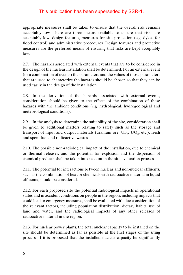appropriate measures shall be taken to ensure that the overall risk remains acceptably low. There are three means available to ensure that risks are acceptably low: design features, measures for site protection (e.g. dykes for flood control) and administrative procedures. Design features and protective measures are the preferred means of ensuring that risks are kept acceptably low.

2.7. The hazards associated with external events that are to be considered in the design of the nuclear installation shall be determined. For an external event (or a combination of events) the parameters and the values of those parameters that are used to characterize the hazards should be chosen so that they can be used easily in the design of the installation.

2.8. In the derivation of the hazards associated with external events, consideration should be given to the effects of the combination of these hazards with the ambient conditions (e.g. hydrological, hydrogeological and meteorological conditions).

2.9. In the analysis to determine the suitability of the site, consideration shall be given to additional matters relating to safety such as the storage and transport of input and output materials (uranium ore,  $UF_6$ ,  $UO_2$ , etc.), fresh and spent fuel and radioactive wastes.

2.10. The possible non-radiological impact of the installation, due to chemical or thermal releases, and the potential for explosion and the dispersion of chemical products shall be taken into account in the site evaluation process.

2.11. The potential for interactions between nuclear and non-nuclear effluents, such as the combination of heat or chemicals with radioactive material in liquid effluents, should be considered.

2.12. For each proposed site the potential radiological impacts in operational states and in accident conditions on people in the region, including impacts that could lead to emergency measures, shall be evaluated with due consideration of the relevant factors, including population distribution, dietary habits, use of land and water, and the radiological impacts of any other releases of radioactive material in the region.

2.13. For nuclear power plants, the total nuclear capacity to be installed on the site should be determined as far as possible at the first stages of the siting process. If it is proposed that the installed nuclear capacity be significantly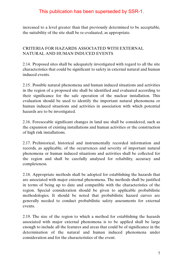increased to a level greater than that previously determined to be acceptable, the suitability of the site shall be re-evaluated, as appropriate.

#### CRITERIA FOR HAZARDS ASSOCIATED WITH EXTERNAL NATURAL AND HUMAN INDUCED EVENTS

2.14. Proposed sites shall be adequately investigated with regard to all the site characteristics that could be significant to safety in external natural and human induced events.

2.15. Possible natural phenomena and human induced situations and activities in the region of a proposed site shall be identified and evaluated according to their significance for the safe operation of the nuclear installation. This evaluation should be used to identify the important natural phenomena or human induced situations and activities in association with which potential hazards are to be investigated.

2.16. Foreseeable significant changes in land use shall be considered, such as the expansion of existing installations and human activities or the construction of high risk installations.

2.17. Prehistorical, historical and instrumentally recorded information and records, as applicable, of the occurrences and severity of important natural phenomena or human induced situations and activities shall be collected for the region and shall be carefully analysed for reliability, accuracy and completeness.

2.18. Appropriate methods shall be adopted for establishing the hazards that are associated with major external phenomena. The methods shall be justified in terms of being up to date and compatible with the characteristics of the region. Special consideration should be given to applicable probabilistic methodologies. It should be noted that probabilistic hazard curves are generally needed to conduct probabilistic safety assessments for external events.

2.19. The size of the region to which a method for establishing the hazards associated with major external phenomena is to be applied shall be large enough to include all the features and areas that could be of significance in the determination of the natural and human induced phenomena under consideration and for the characteristics of the event.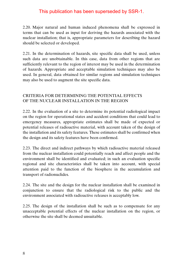2.20. Major natural and human induced phenomena shall be expressed in terms that can be used as input for deriving the hazards associated with the nuclear installation; that is, appropriate parameters for describing the hazard should be selected or developed.

2.21. In the determination of hazards, site specific data shall be used, unless such data are unobtainable. In this case, data from other regions that are sufficiently relevant to the region of interest may be used in the determination of hazards. Appropriate and acceptable simulation techniques may also be used. In general, data obtained for similar regions and simulation techniques may also be used to augment the site specific data.

#### CRITERIA FOR DETERMINING THE POTENTIAL EFFECTS OF THE NUCLEAR INSTALLATION IN THE REGION

2.22. In the evaluation of a site to determine its potential radiological impact on the region for operational states and accident conditions that could lead to emergency measures, appropriate estimates shall be made of expected or potential releases of radioactive material, with account taken of the design of the installation and its safety features. These estimates shall be confirmed when the design and its safety features have been confirmed.

2.23. The direct and indirect pathways by which radioactive material released from the nuclear installation could potentially reach and affect people and the environment shall be identified and evaluated; in such an evaluation specific regional and site characteristics shall be taken into account, with special attention paid to the function of the biosphere in the accumulation and transport of radionuclides.

2.24. The site and the design for the nuclear installation shall be examined in conjunction to ensure that the radiological risk to the public and the environment associated with radioactive releases is acceptably low.

2.25. The design of the installation shall be such as to compensate for any unacceptable potential effects of the nuclear installation on the region, or otherwise the site shall be deemed unsuitable.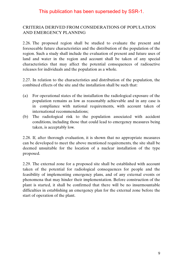#### CRITERIA DERIVED FROM CONSIDERATIONS OF POPULATION AND EMERGENCY PLANNING

2.26. The proposed region shall be studied to evaluate the present and foreseeable future characteristics and the distribution of the population of the region. Such a study shall include the evaluation of present and future uses of land and water in the region and account shall be taken of any special characteristics that may affect the potential consequences of radioactive releases for individuals and the population as a whole.

2.27. In relation to the characteristics and distribution of the population, the combined effects of the site and the installation shall be such that:

- (a) For operational states of the installation the radiological exposure of the population remains as low as reasonably achievable and in any case is in compliance with national requirements, with account taken of international recommendations;
- (b) The radiological risk to the population associated with accident conditions, including those that could lead to emergency measures being taken, is acceptably low.

2.28. If, after thorough evaluation, it is shown that no appropriate measures can be developed to meet the above mentioned requirements, the site shall be deemed unsuitable for the location of a nuclear installation of the type proposed.

2.29. The external zone for a proposed site shall be established with account taken of the potential for radiological consequences for people and the feasibility of implementing emergency plans, and of any external events or phenomena that may hinder their implementation. Before construction of the plant is started, it shall be confirmed that there will be no insurmountable difficulties in establishing an emergency plan for the external zone before the start of operation of the plant.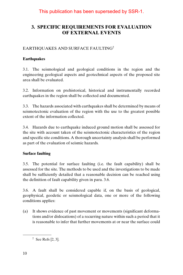## **3. SPECIFIC REQUIREMENTS FOR EVALUATION OF EXTERNAL EVENTS**

## EARTHOUAKES AND SURFACE FAULTING<sup>2</sup>

## **Earthquakes**

3.1. The seismological and geological conditions in the region and the engineering geological aspects and geotechnical aspects of the proposed site area shall be evaluated.

3.2. Information on prehistorical, historical and instrumentally recorded earthquakes in the region shall be collected and documented.

3.3. The hazards associated with earthquakes shall be determined by means of seismotectonic evaluation of the region with the use to the greatest possible extent of the information collected.

3.4. Hazards due to earthquake induced ground motion shall be assessed for the site with account taken of the seismotectonic characteristics of the region and specific site conditions. A thorough uncertainty analysis shall be performed as part of the evaluation of seismic hazards.

## **Surface faulting**

3.5. The potential for surface faulting (i.e. the fault capability) shall be assessed for the site. The methods to be used and the investigations to be made shall be sufficiently detailed that a reasonable decision can be reached using the definition of fault capability given in para. 3.6.

3.6. A fault shall be considered capable if, on the basis of geological, geophysical, geodetic or seismological data, one or more of the following conditions applies:

(a) It shows evidence of past movement or movements (significant deformations and/or dislocations) of a recurring nature within such a period that it is reasonable to infer that further movements at or near the surface could

<sup>&</sup>lt;sup>2</sup> See Refs  $[2, 3]$ .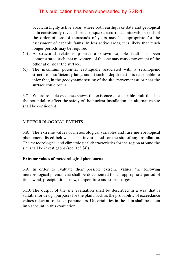occur. In highly active areas, where both earthquake data and geological data consistently reveal short earthquake recurrence intervals, periods of the order of tens of thousands of years may be appropriate for the assessment of capable faults. In less active areas, it is likely that much longer periods may be required.

- (b) A structural relationship with a known capable fault has been demonstrated such that movement of the one may cause movement of the other at or near the surface.
- (c) The maximum potential earthquake associated with a seismogenic structure is sufficiently large and at such a depth that it is reasonable to infer that, in the geodynamic setting of the site, movement at or near the surface could occur.

3.7. Where reliable evidence shows the existence of a capable fault that has the potential to affect the safety of the nuclear installation, an alternative site shall be considered.

#### METEOROLOGICAL EVENTS

3.8. The extreme values of meteorological variables and rare meteorological phenomena listed below shall be investigated for the site of any installation. The meteorological and climatological characteristics for the region around the site shall be investigated (see Ref. [4]).

#### **Extreme values of meteorological phenomena**

3.9. In order to evaluate their possible extreme values, the following meteorological phenomena shall be documented for an appropriate period of time: wind, precipitation, snow, temperature and storm surges.

3.10. The output of the site evaluation shall be described in a way that is suitable for design purposes for the plant, such as the probability of exceedance values relevant to design parameters. Uncertainties in the data shall be taken into account in this evaluation.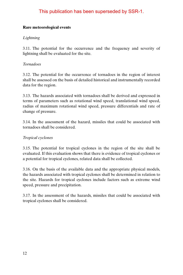#### **Rare meteorological events**

#### *Lightning*

3.11. The potential for the occurrence and the frequency and severity of lightning shall be evaluated for the site.

#### *Tornadoes*

3.12. The potential for the occurrence of tornadoes in the region of interest shall be assessed on the basis of detailed historical and instrumentally recorded data for the region.

3.13. The hazards associated with tornadoes shall be derived and expressed in terms of parameters such as rotational wind speed, translational wind speed, radius of maximum rotational wind speed, pressure differentials and rate of change of pressure.

3.14. In the assessment of the hazard, missiles that could be associated with tornadoes shall be considered.

#### *Tropical cyclones*

3.15. The potential for tropical cyclones in the region of the site shall be evaluated. If this evaluation shows that there is evidence of tropical cyclones or a potential for tropical cyclones, related data shall be collected.

3.16. On the basis of the available data and the appropriate physical models, the hazards associated with tropical cyclones shall be determined in relation to the site. Hazards for tropical cyclones include factors such as extreme wind speed, pressure and precipitation.

3.17. In the assessment of the hazards, missiles that could be associated with tropical cyclones shall be considered.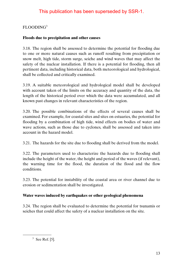## FLOODING<sup>3</sup>

#### **Floods due to precipitation and other causes**

3.18. The region shall be assessed to determine the potential for flooding due to one or more natural causes such as runoff resulting from precipitation or snow melt, high tide, storm surge, seiche and wind waves that may affect the safety of the nuclear installation. If there is a potential for flooding, then all pertinent data, including historical data, both meteorological and hydrological, shall be collected and critically examined.

3.19. A suitable meteorological and hydrological model shall be developed with account taken of the limits on the accuracy and quantity of the data, the length of the historical period over which the data were accumulated, and all known past changes in relevant characteristics of the region.

3.20. The possible combinations of the effects of several causes shall be examined. For example, for coastal sites and sites on estuaries, the potential for flooding by a combination of high tide, wind effects on bodies of water and wave actions, such as those due to cyclones, shall be assessed and taken into account in the hazard model.

3.21. The hazards for the site due to flooding shall be derived from the model.

3.22. The parameters used to characterize the hazards due to flooding shall include the height of the water, the height and period of the waves (if relevant), the warning time for the flood, the duration of the flood and the flow conditions.

3.23. The potential for instability of the coastal area or river channel due to erosion or sedimentation shall be investigated.

#### **Water waves induced by earthquakes or other geological phenomena**

3.24. The region shall be evaluated to determine the potential for tsunamis or seiches that could affect the safety of a nuclear installation on the site.

 $3$  See Ref. [5].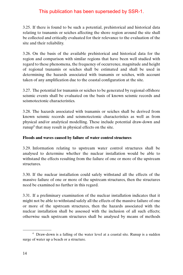3.25. If there is found to be such a potential, prehistorical and historical data relating to tsunamis or seiches affecting the shore region around the site shall be collected and critically evaluated for their relevance to the evaluation of the site and their reliability.

3.26. On the basis of the available prehistorical and historical data for the region and comparison with similar regions that have been well studied with regard to these phenomena, the frequency of occurrence, magnitude and height of regional tsunamis or seiches shall be estimated and shall be used in determining the hazards associated with tsunamis or seiches, with account taken of any amplification due to the coastal configuration at the site.

3.27. The potential for tsunamis or seiches to be generated by regional offshore seismic events shall be evaluated on the basis of known seismic records and seismotectonic characteristics.

3.28. The hazards associated with tsunamis or seiches shall be derived from known seismic records and seismotectonic characteristics as well as from physical and/or analytical modelling. These include potential draw-down and runup<sup>4</sup> that may result in physical effects on the site.

#### **Floods and waves caused by failure of water control structures**

3.29. Information relating to upstream water control structures shall be analysed to determine whether the nuclear installation would be able to withstand the effects resulting from the failure of one or more of the upstream structures.

3.30. If the nuclear installation could safely withstand all the effects of the massive failure of one or more of the upstream structures, then the structures need be examined no further in this regard.

3.31. If a preliminary examination of the nuclear installation indicates that it might not be able to withstand safely all the effects of the massive failure of one or more of the upstream structures, then the hazards associated with the nuclear installation shall be assessed with the inclusion of all such effects; otherwise such upstream structures shall be analysed by means of methods

<sup>&</sup>lt;sup>4</sup> Draw-down is a falling of the water level at a coastal site. Runup is a sudden surge of water up a beach or a structure.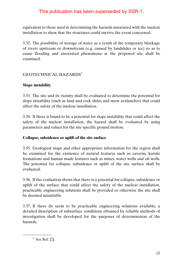equivalent to those used in determining the hazards associated with the nuclear installation to show that the structures could survive the event concerned.

3.32. The possibility of storage of water as a result of the temporary blockage of rivers upstream or downstream (e.g. caused by landslides or ice) so as to cause flooding and associated phenomena at the proposed site shall be examined.

### GEOTECHNICAL HAZARDS<sup>5</sup>

#### **Slope instability**

3.33. The site and its vicinity shall be evaluated to determine the potential for slope instability (such as land and rock slides and snow avalanches) that could affect the safety of the nuclear installation.

3.34. If there is found to be a potential for slope instability that could affect the safety of the nuclear installation, the hazard shall be evaluated by using parameters and values for the site specific ground motion.

#### **Collapse, subsidence or uplift of the site surface**

3.35. Geological maps and other appropriate information for the region shall be examined for the existence of natural features such as caverns, karstic formations and human made features such as mines, water wells and oil wells. The potential for collapse, subsidence or uplift of the site surface shall be evaluated.

3.36. If the evaluation shows that there is a potential for collapse, subsidence or uplift of the surface that could affect the safety of the nuclear installation, practicable engineering solutions shall be provided or otherwise the site shall be deemed unsuitable.

3.37. If there do seem to be practicable engineering solutions available, a detailed description of subsurface conditions obtained by reliable methods of investigation shall be developed for the purposes of determination of the hazards.

 $<sup>5</sup>$  See Ref. [2].</sup>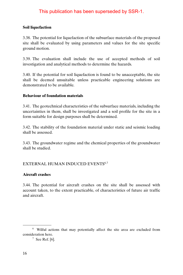#### **Soil liquefaction**

3.38. The potential for liquefaction of the subsurface materials of the proposed site shall be evaluated by using parameters and values for the site specific ground motion.

3.39. The evaluation shall include the use of accepted methods of soil investigation and analytical methods to determine the hazards.

3.40. If the potential for soil liquefaction is found to be unacceptable, the site shall be deemed unsuitable unless practicable engineering solutions are demonstrated to be available.

#### **Behaviour of foundation materials**

3.41. The geotechnical characteristics of the subsurface materials, including the uncertainties in them, shall be investigated and a soil profile for the site in a form suitable for design purposes shall be determined.

3.42. The stability of the foundation material under static and seismic loading shall be assessed.

3.43. The groundwater regime and the chemical properties of the groundwater shall be studied.

#### EXTERNAL HUMAN INDUCED EVENTS $^{6,7}$

#### **Aircraft crashes**

3.44. The potential for aircraft crashes on the site shall be assessed with account taken, to the extent practicable, of characteristics of future air traffic and aircraft.

<sup>&</sup>lt;sup>6</sup> Wilful actions that may potentially affect the site area are excluded from consideration here.

 $7$  See Ref. [6].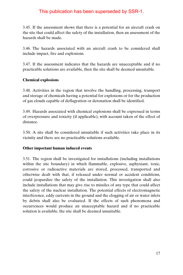3.45. If the assessment shows that there is a potential for an aircraft crash on the site that could affect the safety of the installation, then an assessment of the hazards shall be made.

3.46. The hazards associated with an aircraft crash to be considered shall include impact, fire and explosions.

3.47. If the assessment indicates that the hazards are unacceptable and if no practicable solutions are available, then the site shall be deemed unsuitable.

#### **Chemical explosions**

3.48. Activities in the region that involve the handling, processing, transport and storage of chemicals having a potential for explosions or for the production of gas clouds capable of deflagration or detonation shall be identified.

3.49. Hazards associated with chemical explosions shall be expressed in terms of overpressure and toxicity (if applicable), with account taken of the effect of distance.

3.50. A site shall be considered unsuitable if such activities take place in its vicinity and there are no practicable solutions available.

#### **Other important human induced events**

3.51. The region shall be investigated for installations (including installations within the site boundary) in which flammable, explosive, asphyxiant, toxic, corrosive or radioactive materials are stored, processed, transported and otherwise dealt with that, if released under normal or accident conditions, could jeopardize the safety of the installation. This investigation shall also include installations that may give rise to missiles of any type that could affect the safety of the nuclear installation. The potential effects of electromagnetic interference, eddy currents in the ground and the clogging of air or water inlets by debris shall also be evaluated. If the effects of such phenomena and occurrences would produce an unacceptable hazard and if no practicable solution is available, the site shall be deemed unsuitable.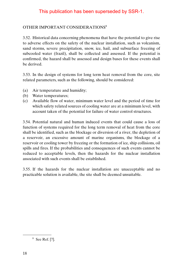### OTHER IMPORTANT CONSIDERATIONS<sup>8</sup>

3.52. Historical data concerning phenomena that have the potential to give rise to adverse effects on the safety of the nuclear installation, such as volcanism, sand storms, severe precipitation, snow, ice, hail, and subsurface freezing of subcooled water (frazil), shall be collected and assessed. If the potential is confirmed, the hazard shall be assessed and design bases for these events shall be derived.

3.53. In the design of systems for long term heat removal from the core, site related parameters, such as the following, should be considered:

- (a) Air temperature and humidity;
- (b) Water temperatures;
- (c) Available flow of water, minimum water level and the period of time for which safety related sources of cooling water are at a minimum level, with account taken of the potential for failure of water control structures.

3.54. Potential natural and human induced events that could cause a loss of function of systems required for the long term removal of heat from the core shall be identified, such as the blockage or diversion of a river, the depletion of a reservoir, an excessive amount of marine organisms, the blockage of a reservoir or cooling tower by freezing or the formation of ice, ship collisions, oil spills and fires. If the probabilities and consequences of such events cannot be reduced to acceptable levels, then the hazards for the nuclear installation associated with such events shall be established.

3.55. If the hazards for the nuclear installation are unacceptable and no practicable solution is available, the site shall be deemed unsuitable.

<sup>8</sup> See Ref. [7].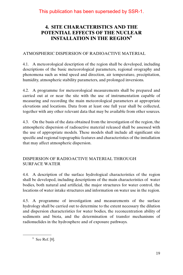## **4. SITE CHARACTERISTICS AND THE POTENTIAL EFFECTS OF THE NUCLEAR INSTALLATION IN THE REGION<sup>9</sup>**

#### ATMOSPHERIC DISPERSION OF RADIOACTIVE MATERIAL

4.1. A meteorological description of the region shall be developed, including descriptions of the basic meteorological parameters, regional orography and phenomena such as wind speed and direction, air temperature, precipitation, humidity, atmospheric stability parameters, and prolonged inversions.

4.2. A programme for meteorological measurements shall be prepared and carried out at or near the site with the use of instrumentation capable of measuring and recording the main meteorological parameters at appropriate elevations and locations. Data from at least one full year shall be collected, together with any other relevant data that may be available from other sources.

4.3. On the basis of the data obtained from the investigation of the region, the atmospheric dispersion of radioactive material released shall be assessed with the use of appropriate models. These models shall include all significant site specific and regional topographic features and characteristics of the installation that may affect atmospheric dispersion.

### DISPERSION OF RADIOACTIVE MATERIAL THROUGH SURFACE WATER

4.4. A description of the surface hydrological characteristics of the region shall be developed, including descriptions of the main characteristics of water bodies, both natural and artificial, the major structures for water control, the locations of water intake structures and information on water use in the region.

4.5. A programme of investigation and measurements of the surface hydrology shall be carried out to determine to the extent necessary the dilution and dispersion characteristics for water bodies, the reconcentration ability of sediments and biota, and the determination of transfer mechanisms of radionuclides in the hydrosphere and of exposure pathways.

<sup>9</sup> See Ref. [8].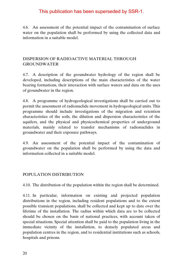4.6. An assessment of the potential impact of the contamination of surface water on the population shall be performed by using the collected data and information in a suitable model.

#### DISPERSION OF RADIOACTIVE MATERIAL THROUGH GROUNDWATER

4.7. A description of the groundwater hydrology of the region shall be developed, including descriptions of the main characteristics of the water bearing formations, their interaction with surface waters and data on the uses of groundwater in the region.

4.8. A programme of hydrogeological investigations shall be carried out to permit the assessment of radionuclide movement in hydrogeological units. This programme should include investigations of the migration and retention characteristics of the soils, the dilution and dispersion characteristics of the aquifers, and the physical and physicochemical properties of underground materials, mainly related to transfer mechanisms of radionuclides in groundwater and their exposure pathways.

4.9. An assessment of the potential impact of the contamination of groundwater on the population shall be performed by using the data and information collected in a suitable model.

#### POPULATION DISTRIBUTION

4.10. The distribution of the population within the region shall be determined.

4.11. In particular, information on existing and projected population distributions in the region, including resident populations and to the extent possible transient populations, shall be collected and kept up to date over the lifetime of the installation. The radius within which data are to be collected should be chosen on the basis of national practices, with account taken of special situations. Special attention shall be paid to the population living in the immediate vicinity of the installation, to densely populated areas and population centres in the region, and to residential institutions such as schools, hospitals and prisons.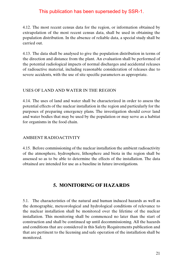4.12. The most recent census data for the region, or information obtained by extrapolation of the most recent census data, shall be used in obtaining the population distribution. In the absence of reliable data, a special study shall be carried out.

4.13. The data shall be analysed to give the population distribution in terms of the direction and distance from the plant. An evaluation shall be performed of the potential radiological impacts of normal discharges and accidental releases of radioactive material, including reasonable consideration of releases due to severe accidents, with the use of site specific parameters as appropriate.

#### USES OF LAND AND WATER IN THE REGION

4.14. The uses of land and water shall be characterized in order to assess the potential effects of the nuclear installation in the region and particularly for the purposes of preparing emergency plans. The investigation should cover land and water bodies that may be used by the population or may serve as a habitat for organisms in the food chain.

#### AMBIENT RADIOACTIVITY

4.15. Before commissioning of the nuclear installation the ambient radioactivity of the atmosphere, hydrosphere, lithosphere and biota in the region shall be assessed so as to be able to determine the effects of the installation. The data obtained are intended for use as a baseline in future investigations.

## **5. MONITORING OF HAZARDS**

5.1. The characteristics of the natural and human induced hazards as well as the demographic, meteorological and hydrological conditions of relevance to the nuclear installation shall be monitored over the lifetime of the nuclear installation. This monitoring shall be commenced no later than the start of construction and shall be continued up until decommissioning. All the hazards and conditions that are considered in this Safety Requirements publication and that are pertinent to the licensing and safe operation of the installation shall be monitored.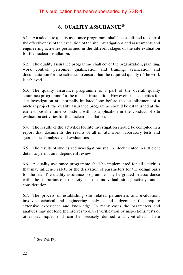## **6. QUALITY ASSURANCE<sup>10</sup>**

6.1. An adequate quality assurance programme shall be established to control the effectiveness of the execution of the site investigations and assessments and engineering activities performed in the different stages of the site evaluation for the nuclear installation.

6.2. The quality assurance programme shall cover the organization, planning, work control, personnel qualification and training, verification and documentation for the activities to ensure that the required quality of the work is achieved.

6.3. The quality assurance programme is a part of the overall quality assurance programme for the nuclear installation. However, since activities for site investigation are normally initiated long before the establishment of a nuclear project, the quality assurance programme should be established at the earliest possible time consistent with its application in the conduct of site evaluation activities for the nuclear installation.

6.4. The results of the activities for site investigation should be compiled in a report that documents the results of all in situ work, laboratory tests and geotechnical analyses and evaluations.

6.5. The results of studies and investigations shall be documented in sufficient detail to permit an independent review.

6.6. A quality assurance programme shall be implemented for all activities that may influence safety or the derivation of parameters for the design basis for the site. The quality assurance programme may be graded in accordance with the importance to safety of the individual siting activity under consideration.

6.7. The process of establishing site related parameters and evaluations involves technical and engineering analyses and judgements that require extensive experience and knowledge. In many cases the parameters and analyses may not lend themselves to direct verification by inspections, tests or other techniques that can be precisely defined and controlled. These

 $10$  See Ref. [9].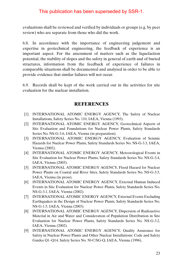evaluations shall be reviewed and verified by individuals or groups (e.g. by peer review) who are separate from those who did the work.

6.8. In accordance with the importance of engineering judgement and expertise in geotechnical engineering, the feedback of experience is an important aspect. For the assessment of matters such as the liquefaction potential, the stability of slopes and the safety in general of earth and of buried structures, information from the feedback of experience of failures in comparable situations shall be documented and analysed in order to be able to provide evidence that similar failures will not occur.

6.9. Records shall be kept of the work carried out in the activities for site evaluation for the nuclear installation.

### **REFERENCES**

- [1] INTERNATIONAL ATOMIC ENERGY AGENCY, The Safety of Nuclear Installations, Safety Series No. 110, IAEA, Vienna (1993).
- [2] INTERNATIONAL ATOMIC ENERGY AGENCY, Geotechnical Aspects of Site Evaluation and Foundations for Nuclear Power Plants, Safety Standards Series No. NS-G-3.6, IAEA, Vienna (in preparation).
- [3] INTERNATIONAL ATOMIC ENERGY AGENCY, Evaluation of Seismic Hazards for Nuclear Power Plants, Safety Standards Series No. NS-G-3.3, IAEA, Vienna (2002).
- [4] INTERNATIONAL ATOMIC ENERGY AGENCY, Meteorological Events in Site Evaluation for Nuclear Power Plants, Safety Standards Series No. NS-G-3.4, IAEA, Vienna (2003).
- [5] INTERNATIONAL ATOMIC ENERGY AGENCY, Flood Hazard for Nuclear Power Plants on Coastal and River Sites, Safety Standards Series No. NS-G-3.5, IAEA, Vienna (in press).
- [6] INTERNATIONAL ATOMIC ENERGY AGENCY, External Human Induced Events in Site Evaluation for Nuclear Power Plants, Safety Standards Series No. NS-G-3.1, IAEA, Vienna (2002).
- [7] INTERNATIONAL ATOMIC ENERGY AGENCY, External Events Excluding Earthquakes in the Design of Nuclear Power Plants, Safety Standards Series No. NS-G-1.5, IAEA, Vienna (2003).
- [8] INTERNATIONAL ATOMIC ENERGY AGENCY, Dispersion of Radioactive Material in Air and Water and Consideration of Population Distribution in Site Evaluation for Nuclear Power Plants, Safety Standards Series No. NS-G-3.2, IAEA, Vienna (2002).
- [9] INTERNATIONAL ATOMIC ENERGY AGENCY, Quality Assurance for Safety in Nuclear Power Plants and Other Nuclear Installations: Code and Safety Guides Q1–Q14, Safety Series No. 50-C/SG-Q, IAEA, Vienna (1996).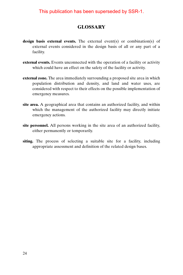## **GLOSSARY**

- design basis external events. The external event(s) or combination(s) of external events considered in the design basis of all or any part of a facility.
- **external events.** Events unconnected with the operation of a facility or activity which could have an effect on the safety of the facility or activity.
- **external zone.** The area immediately surrounding a proposed site area in which population distribution and density, and land and water uses, are considered with respect to their effects on the possible implementation of emergency measures.
- **site area.** A geographical area that contains an authorized facility, and within which the management of the authorized facility may directly initiate emergency actions.
- **site personnel.** All persons working in the site area of an authorized facility, either permanently or temporarily.
- siting. The process of selecting a suitable site for a facility, including appropriate assessment and definition of the related design bases.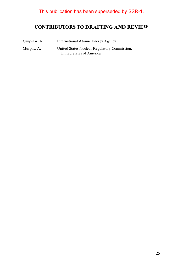## **CONTRIBUTORS TO DRAFTING AND REVIEW**

| Gürpinar, A. | <b>International Atomic Energy Agency</b>                                |
|--------------|--------------------------------------------------------------------------|
| Murphy, A.   | United States Nuclear Regulatory Commission,<br>United States of America |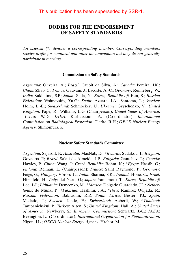### **BODIES FOR THE ENDORSEMENT OF SAFETY STANDARDS**

*An asterisk (\*) denotes a corresponding member. Corresponding members receive drafts for comment and other documentation but they do not generally participate in meetings.*

#### **Commission on Safety Standards**

*Argentina*: Oliveira, A.; *Brazil*: Caubit da Silva, A.; *Canada*: Pereira, J.K.; *China*: Zhao, C.; *France*: Gauvain, J.; Lacoste, A.-C.; *Germany*: Renneberg, W.; *India*: Sukhatme, S.P.; *Japan*: Suda, N.; *Korea, Republic of*: Eun, S.; *Russian Federation*: Vishnevskiy, Yu.G.; *Spain*: Azuara, J.A.; Santoma, L.; *Sweden*: Holm, L.-E.; *Switzerland*: Schmocker, U.; *Ukraine*: Gryschenko, V.; *United Kingdom*: Pape, R.; Williams, L.G. (Chairperson); *United States of America*: Travers, W.D.; *IAEA*: Karbassioun, A. (Co-ordinator); *International Commission on Radiological Protection*: Clarke, R.H.; *OECD Nuclear Energy Agency*: Shimomura, K.

#### **Nuclear Safety Standards Committee**

*Argentina*: Sajaroff, P.; *Australia*: MacNab, D.; \**Belarus*: Sudakou, I.; *Belgium*: Govaerts, P.; *Brazil*: Salati de Almeida, I.P.; *Bulgaria*: Gantchev, T.; *Canada*: Hawley, P.; *China*: Wang, J.; *Czech Republic*: Böhm, K.; \**Egypt*: Hassib, G.; *Finland*: Reiman, L. (Chairperson); *France*: Saint Raymond, P.; *Germany*: Feige, G.; *Hungary*: Vöröss, L.; *India*: Sharma, S.K.; *Ireland*: Hone, C.; *Israel*: Hirshfeld, H.; *Italy*: del Nero, G.; *Japan*: Yamamoto, T.; *Korea, Republic of*: Lee, J.-I.; *Lithuania*: Demcenko, M.; \**Mexico*: Delgado Guardado, J.L.; *Netherlands*: de Munk, P.; \**Pakistan*: Hashimi, J.A.; \**Peru*: Ramírez Quijada, R.; *Russian Federation*: Baklushin, R.P.; *South Africa*: Bester, P.J.; *Spain*: Mellado, I.; *Sweden*: Jende, E.; *Switzerland*: Aeberli, W.; \**Thailand*: Tanipanichskul, P.; *Turkey*: Alten, S.; *United Kingdom*: Hall, A.; *United States of America*: Newberry, S.; *European Commission*: Schwartz, J.-C.; *IAEA*: Bevington, L. (Co-ordinator); *International Organization for Standardization*: Nigon, J.L.; *OECD Nuclear Energy Agency*: Hrehor, M.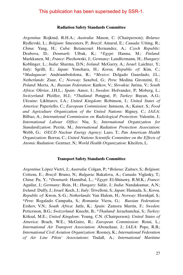#### **Radiation Safety Standards Committee**

*Argentina*: Rojkind, R.H.A.; *Australia*: Mason, C. (Chairperson); *Belarus*: Rydlevski, L.; *Belgium*: Smeesters, P.; *Brazil*: Amaral, E.; *Canada*: Utting, R.; *China*: Yang, H.; *Cuba*: Betancourt Hernandez, A.; *Czech Republic*: Drabova, D.; *Denmark*: Ulbak, K.; \**Egypt*: Hanna, M.; *Finland*: Markkanen, M.; *France*: Piechowski, J.; *Germany*: Landfermann, H.; *Hungary*: Koblinger, L.; *India*: Sharma, D.N.; *Ireland*: McGarry, A.; *Israel*: Laichter, Y.; *Italy*: Sgrilli, E.; *Japan*: Yonehara, H.; *Korea, Republic of*: Kim, C.; \**Madagascar*: Andriambololona, R.; \**Mexico*: Delgado Guardado, J.L.; *Netherlands*: Zuur, C.; *Norway*: Saxebol, G.; *Peru*: Medina Gironzini, E.; *Poland*: Merta, A.; *Russian Federation*: Kutkov, V.; *Slovakia*: Jurina, V.; *South Africa*: Olivier, J.H.L.; *Spain*: Amor, I.; *Sweden*: Hofvander, P.; Moberg, L.; *Switzerland*: Pfeiffer, H.J.; \**Thailand*: Pongpat, P.; *Turkey*: Buyan, A.G.; *Ukraine*: Likhtarev, I.A.; *United Kingdom*: Robinson, I.; *United States of America*: Paperiello, C.; *European Commission*: Janssens, A.; Kaiser, S.; *Food and Agriculture Organization of the United Nations*: Rigney, C.; *IAEA*: Bilbao, A.; *International Commission on Radiological Protection*: Valentin, J.; *International Labour Office*: Niu, S.; *International Organization for Standardization*: Perrin, M.; *International Radiation Protection Association*: Webb, G.; *OECD Nuclear Energy Agency*: Lazo, T.; *Pan American Health Organization*: Borras, C.; *United Nations Scientific Committee on the Effects of Atomic Radiation*: Gentner, N.; *World Health Organization*: Kheifets, L.

#### **Transport Safety Standards Committee**

*Argentina*: López Vietri, J.; *Australia*: Colgan, P.; \**Belarus*: Zaitsev, S.; *Belgium*: Cottens, E.; *Brazil*: Bruno, N.; *Bulgaria*: Bakalova, A.; *Canada*: Viglasky, T.; *China*: Pu, Y.; \**Denmark*: Hannibal, L.; \**Egypt*: El-Shinawy, R.M.K.; *France*: Aguilar, J.; *Germany*: Rein, H.; *Hungary*: Sáfár, J.; *India*: Nandakumar, A.N.; *Ireland*: Duffy, J.; *Israel*: Koch, J.; *Italy*: Trivelloni, S.; *Japan*: Hamada, S.; *Korea, Republic of*: Kwon, S.-G*.*; *Netherlands*: Van Halem, H.; *Norway*: Hornkjøl, S.; \**Peru*: Regalado Campaña, S.; *Romania*: Vieru, G.; *Russian Federation*: Ershov, V.N.; *South Africa*: Jutle, K.; *Spain*: Zamora Martin, F.; *Sweden*: Pettersson, B.G.; *Switzerland*: Knecht, B.; \**Thailand*: Jerachanchai, S.; *Turkey*: Köksal, M.E.; *United Kingdom*: Young, C.N. (Chairperson); *United States of America*: Brach, W.E.; McGuire, R.; *European Commission*: Rossi, L.; *International Air Transport Association*: Abouchaar, J.; *IAEA*: Pope, R.B.; *International Civil Aviation Organization*: Rooney, K.; *International Federation of Air Line Pilots' Associations*: Tisdall, A.; *International Maritime*